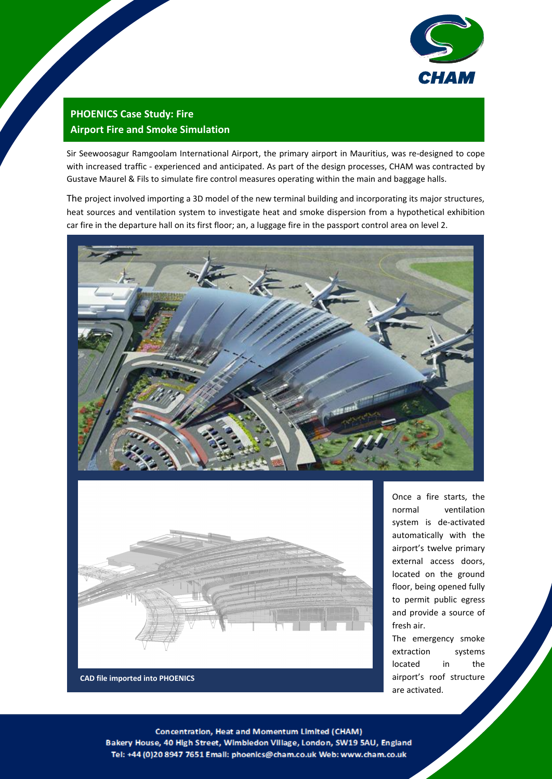

# **PHOENICS Case Study: Fire Airport Fire and Smoke Simulation**

Sir Seewoosagur Ramgoolam International Airport, the primary airport in Mauritius, was re-designed to cope with increased traffic - experienced and anticipated. As part of the design processes, CHAM was contracted by Gustave Maurel & Fils to simulate fire control measures operating within the main and baggage halls.

The project involved importing a 3D model of the new terminal building and incorporating its major structures, heat sources and ventilation system to investigate heat and smoke dispersion from a hypothetical exhibition car fire in the departure hall on its first floor; an, a luggage fire in the passport control area on level 2.





Once a fire starts, the normal ventilation system is de-activated automatically with the airport's twelve primary external access doors, located on the ground floor, being opened fully to permit public egress and provide a source of fresh air.

The emergency smoke extraction systems located in the airport's roof structure are activated.

Concentration, Heat and Momentum Limited (CHAM) Bakery House, 40 High Street, Wimbledon Village, London, SW19 5AU, England Tel: +44 (0)20 8947 7651 Email: phoenics@cham.co.uk Web: www.cham.co.uk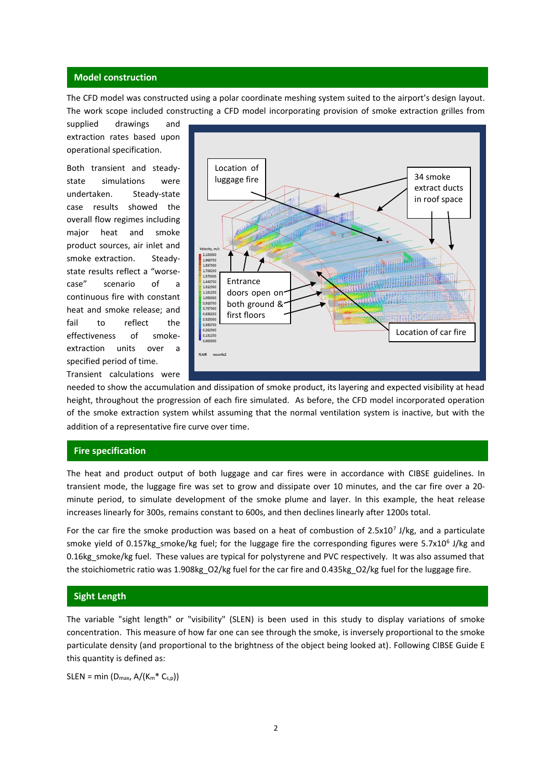#### **Model construction**

The CFD model was constructed using a polar coordinate meshing system suited to the airport's design layout. The work scope included constructing a CFD model incorporating provision of smoke extraction grilles from

supplied drawings and extraction rates based upon operational specification.

Both transient and steadystate simulations were undertaken. Steady-state case results showed the overall flow regimes including major heat and smoke product sources, air inlet and smoke extraction. Steadystate results reflect a "worsecase" scenario of a continuous fire with constant heat and smoke release; and fail to reflect the effectiveness of smokeextraction units over a specified period of time. Transient calculations were



needed to show the accumulation and dissipation of smoke product, its layering and expected visibility at head height, throughout the progression of each fire simulated. As before, the CFD model incorporated operation of the smoke extraction system whilst assuming that the normal ventilation system is inactive, but with the addition of a representative fire curve over time.

## **Fire specification**

The heat and product output of both luggage and car fires were in accordance with CIBSE guidelines. In transient mode, the luggage fire was set to grow and dissipate over 10 minutes, and the car fire over a 20 minute period, to simulate development of the smoke plume and layer. In this example, the heat release increases linearly for 300s, remains constant to 600s, and then declines linearly after 1200s total.

For the car fire the smoke production was based on a heat of combustion of  $2.5x10<sup>7</sup>$  J/kg, and a particulate smoke yield of 0.157kg\_smoke/kg fuel; for the luggage fire the corresponding figures were 5.7x10<sup>6</sup> J/kg and 0.16kg\_smoke/kg fuel. These values are typical for polystyrene and PVC respectively. It was also assumed that the stoichiometric ratio was 1.908kg\_O2/kg fuel for the car fire and 0.435kg\_O2/kg fuel for the luggage fire.

#### **Sight Length**

The variable "sight length" or "visibility" (SLEN) is been used in this study to display variations of smoke concentration. This measure of how far one can see through the smoke, is inversely proportional to the smoke particulate density (and proportional to the brightness of the object being looked at). Following CIBSE Guide E this quantity is defined as:

 $SLEN = min (D_{max}, A/(K_m * C_{s,p}))$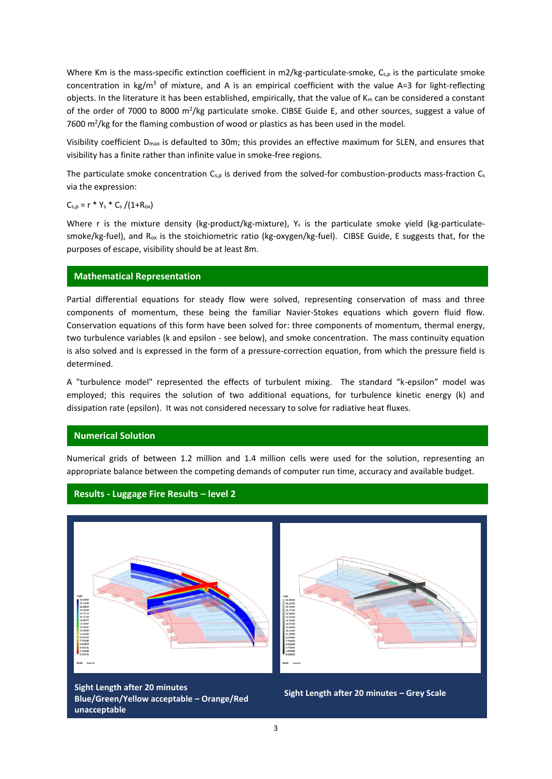Where Km is the mass-specific extinction coefficient in m2/kg-particulate-smoke,  $C_{s,p}$  is the particulate smoke concentration in kg/m<sup>3</sup> of mixture, and A is an empirical coefficient with the value A=3 for light-reflecting objects. In the literature it has been established, empirically, that the value of  $K_m$  can be considered a constant of the order of 7000 to 8000  $m^2/kg$  particulate smoke. CIBSE Guide E, and other sources, suggest a value of 7600  $\mathrm{m}^2$ /kg for the flaming combustion of wood or plastics as has been used in the model.

Visibility coefficient Dmax is defaulted to 30m; this provides an effective maximum for SLEN, and ensures that visibility has a finite rather than infinite value in smoke-free regions.

The particulate smoke concentration  $C_{s,p}$  is derived from the solved-for combustion-products mass-fraction  $C_s$ via the expression:

 $C_{s,p} = r * Y_s * C_s / (1 + R_{ox})$ 

Where r is the mixture density (kg-product/kg-mixture),  $Y_s$  is the particulate smoke yield (kg-particulatesmoke/kg-fuel), and Rox is the stoichiometric ratio (kg-oxygen/kg-fuel). CIBSE Guide, E suggests that, for the purposes of escape, visibility should be at least 8m.

#### **Mathematical Representation**

Partial differential equations for steady flow were solved, representing conservation of mass and three components of momentum, these being the familiar Navier-Stokes equations which govern fluid flow. Conservation equations of this form have been solved for: three components of momentum, thermal energy, two turbulence variables (k and epsilon - see below), and smoke concentration. The mass continuity equation is also solved and is expressed in the form of a pressure-correction equation, from which the pressure field is determined.

A "turbulence model" represented the effects of turbulent mixing. The standard "k-epsilon" model was employed; this requires the solution of two additional equations, for turbulence kinetic energy (k) and dissipation rate (epsilon). It was not considered necessary to solve for radiative heat fluxes.

#### **Numerical Solution**

Numerical grids of between 1.2 million and 1.4 million cells were used for the solution, representing an appropriate balance between the competing demands of computer run time, accuracy and available budget.

### **Results - Luggage Fire Results – level 2**



**Sight Length after 20 minutes Blue/Green/Yellow acceptable – Orange/Red unacceptable**

**Sight Length after 20 minutes – Grey Scale**